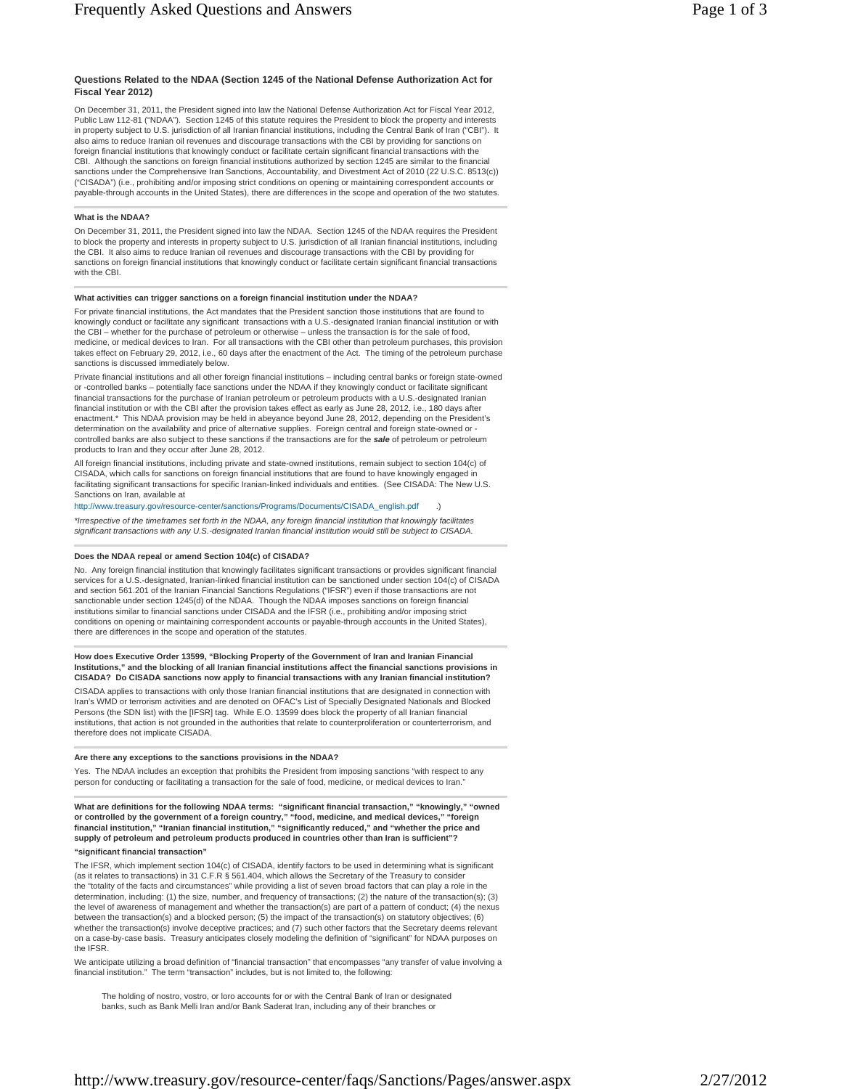# **Questions Related to the NDAA (Section 1245 of the National Defense Authorization Act for Fiscal Year 2012)**

On December 31, 2011, the President signed into law the National Defense Authorization Act for Fiscal Year 2012, Public Law 112-81 ("NDAA"). Section 1245 of this statute requires the President to block the property and interests in property subject to U.S. jurisdiction of all Iranian financial institutions, including the Central Bank of Iran ("CBI"). It also aims to reduce Iranian oil revenues and discourage transactions with the CBI by providing for sanctions on foreign financial institutions that knowingly conduct or facilitate certain significant financial transactions with the CBI. Although the sanctions on foreign financial institutions authorized by section 1245 are similar to the financial sanctions under the Comprehensive Iran Sanctions, Accountability, and Divestment Act of 2010 (22 U.S.C. 8513(c)) ("CISADA") (i.e., prohibiting and/or imposing strict conditions on opening or maintaining correspondent accounts or payable-through accounts in the United States), there are differences in the scope and operation of the two statutes.

# **What is the NDAA?**

On December 31, 2011, the President signed into law the NDAA. Section 1245 of the NDAA requires the President to block the property and interests in property subject to U.S. jurisdiction of all Iranian financial institutions, including the CBI. It also aims to reduce Iranian oil revenues and discourage transactions with the CBI by providing for sanctions on foreign financial institutions that knowingly conduct or facilitate certain significant financial transactions with the CBI.

#### **What activities can trigger sanctions on a foreign financial institution under the NDAA?**

For private financial institutions, the Act mandates that the President sanction those institutions that are found to knowingly conduct or facilitate any significant transactions with a U.S.-designated Iranian financial institution or with the CBI – whether for the purchase of petroleum or otherwise – unless the transaction is for the sale of food, medicine, or medical devices to Iran. For all transactions with the CBI other than petroleum purchases, this provision takes effect on February 29, 2012, i.e., 60 days after the enactment of the Act. The timing of the petroleum purchase sanctions is discussed immediately below.

Private financial institutions and all other foreign financial institutions – including central banks or foreign state-owned or -controlled banks – potentially face sanctions under the NDAA if they knowingly conduct or facilitate significant financial transactions for the purchase of Iranian petroleum or petroleum products with a U.S.-designated Iranian financial institution or with the CBI after the provision takes effect as early as June 28, 2012, i.e., 180 days after enactment.\* This NDAA provision may be held in abeyance beyond June 28, 2012, depending on the President's determination on the availability and price of alternative supplies. Foreign central and foreign state-owned or controlled banks are also subject to these sanctions if the transactions are for the *sale* of petroleum or petroleum products to Iran and they occur after June 28, 2012.

All foreign financial institutions, including private and state-owned institutions, remain subject to section 104(c) of CISADA, which calls for sanctions on foreign financial institutions that are found to have knowingly engaged in facilitating significant transactions for specific Iranian-linked individuals and entities. (See CISADA: The New U.S. Sanctions on Iran, available at

http://www.treasury.gov/resource-center/sanctions/Programs/Documents/CISADA\_english.pdf .)

*\*Irrespective of the timeframes set forth in the NDAA, any foreign financial institution that knowingly facilitates significant transactions with any U.S.-designated Iranian financial institution would still be subject to CISADA.*

# **Does the NDAA repeal or amend Section 104(c) of CISADA?**

No. Any foreign financial institution that knowingly facilitates significant transactions or provides significant financial services for a U.S.-designated, Iranian-linked financial institution can be sanctioned under section 104(c) of CISADA and section 561.201 of the Iranian Financial Sanctions Regulations ("IFSR") even if those transactions are not sanctionable under section 1245(d) of the NDAA. Though the NDAA imposes sanctions on foreign financial institutions similar to financial sanctions under CISADA and the IFSR (i.e., prohibiting and/or imposing strict conditions on opening or maintaining correspondent accounts or payable-through accounts in the United States), there are differences in the scope and operation of the statutes.

### **How does Executive Order 13599, "Blocking Property of the Government of Iran and Iranian Financial Institutions," and the blocking of all Iranian financial institutions affect the financial sanctions provisions in CISADA? Do CISADA sanctions now apply to financial transactions with any Iranian financial institution?**

CISADA applies to transactions with only those Iranian financial institutions that are designated in connection with Iran's WMD or terrorism activities and are denoted on OFAC's List of Specially Designated Nationals and Blocked Persons (the SDN list) with the [IFSR] tag. While E.O. 13599 does block the property of all Iranian financial institutions, that action is not grounded in the authorities that relate to counterproliferation or counterterrorism, and therefore does not implicate CISADA.

### **Are there any exceptions to the sanctions provisions in the NDAA?**

Yes. The NDAA includes an exception that prohibits the President from imposing sanctions "with respect to any person for conducting or facilitating a transaction for the sale of food, medicine, or medical devices to Iran."

**What are definitions for the following NDAA terms: "significant financial transaction," "knowingly," "owned**  or controlled by the government of a foreign country," "food, medicine, and medical devices," "foreign<br>financial institution," "Iranian financial institution," "significantly reduced," and "whether the price and **supply of petroleum and petroleum products produced in countries other than Iran is sufficient"?**

### **"significant financial transaction"**

The IFSR, which implement section 104(c) of CISADA, identify factors to be used in determining what is significant (as it relates to transactions) in 31 C.F.R § 561.404, which allows the Secretary of the Treasury to consider the "totality of the facts and circumstances" while providing a list of seven broad factors that can play a role in the determination, including: (1) the size, number, and frequency of transactions; (2) the nature of the transaction(s); (3) the level of awareness of management and whether the transaction(s) are part of a pattern of conduct; (4) the nexus between the transaction(s) and a blocked person; (5) the impact of the transaction(s) on statutory objectives; (6) whether the transaction(s) involve deceptive practices; and (7) such other factors that the Secretary deems relevant on a case-by-case basis. Treasury anticipates closely modeling the definition of "significant" for NDAA purposes on the IFSR.

We anticipate utilizing a broad definition of "financial transaction" that encompasses "any transfer of value involving a financial institution." The term "transaction" includes, but is not limited to, the following:

The holding of nostro, vostro, or loro accounts for or with the Central Bank of Iran or designated banks, such as Bank Melli Iran and/or Bank Saderat Iran, including any of their branches or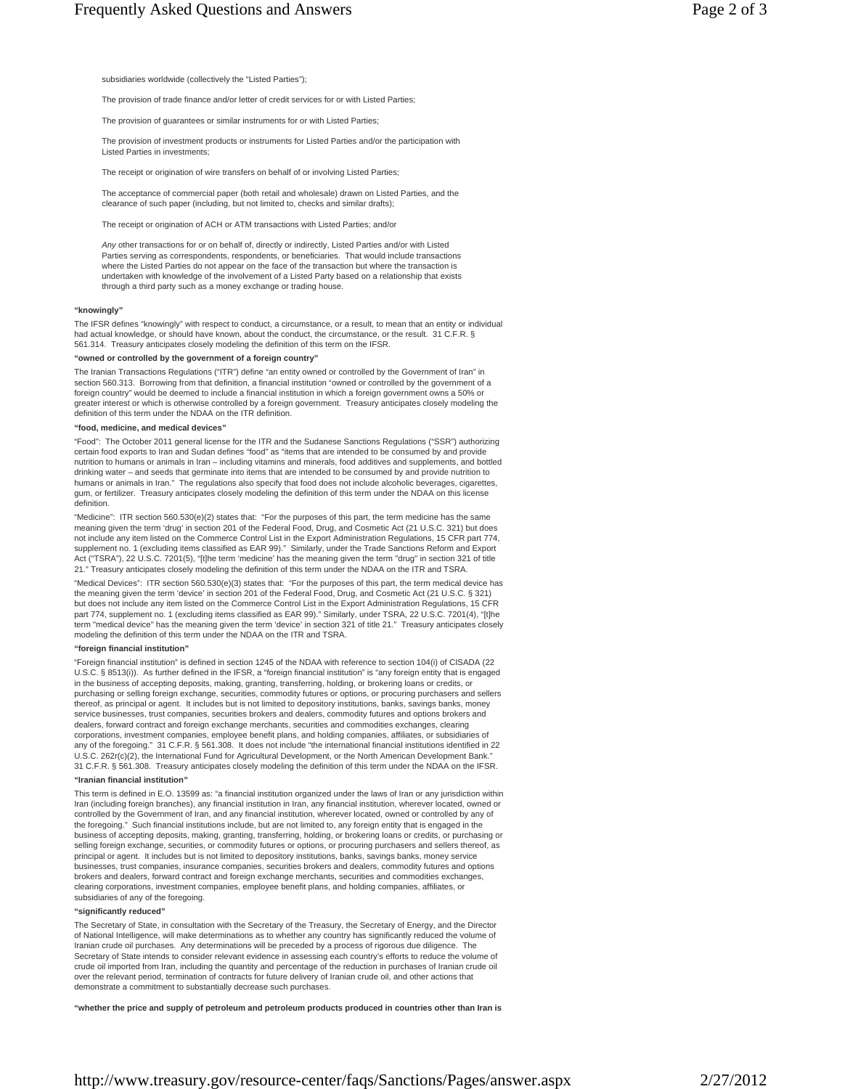The provision of trade finance and/or letter of credit services for or with Listed Parties;

The provision of guarantees or similar instruments for or with Listed Parties;

The provision of investment products or instruments for Listed Parties and/or the participation with Listed Parties in investments;

The receipt or origination of wire transfers on behalf of or involving Listed Parties;

The acceptance of commercial paper (both retail and wholesale) drawn on Listed Parties, and the clearance of such paper (including, but not limited to, checks and similar drafts);

The receipt or origination of ACH or ATM transactions with Listed Parties; and/or

*Any* other transactions for or on behalf of, directly or indirectly, Listed Parties and/or with Listed Parties serving as correspondents, respondents, or beneficiaries. That would include transactions where the Listed Parties do not appear on the face of the transaction but where the transaction is undertaken with knowledge of the involvement of a Listed Party based on a relationship that exists through a third party such as a money exchange or trading house.

### **"knowingly"**

The IFSR defines "knowingly" with respect to conduct, a circumstance, or a result, to mean that an entity or individual had actual knowledge, or should have known, about the conduct, the circumstance, or the result. 31 C.F.R. § 561.314. Treasury anticipates closely modeling the definition of this term on the IFSR.

# **"owned or controlled by the government of a foreign country"**

The Iranian Transactions Regulations ("ITR") define "an entity owned or controlled by the Government of Iran" in section 560.313. Borrowing from that definition, a financial institution "owned or controlled by the government of a foreign country" would be deemed to include a financial institution in which a foreign government owns a 50% or greater interest or which is otherwise controlled by a foreign government. Treasury anticipates closely modeling the definition of this term under the NDAA on the ITR definition.

# **"food, medicine, and medical devices"**

"Food": The October 2011 general license for the ITR and the Sudanese Sanctions Regulations ("SSR") authorizing certain food exports to Iran and Sudan defines "food" as "items that are intended to be consumed by and provide nutrition to humans or animals in Iran – including vitamins and minerals, food additives and supplements, and bottled drinking water – and seeds that germinate into items that are intended to be consumed by and provide nutrition to humans or animals in Iran." The regulations also specify that food does not include alcoholic beverages, cigarettes, gum, or fertilizer. Treasury anticipates closely modeling the definition of this term under the NDAA on this license definition.

"Medicine": ITR section 560.530(e)(2) states that: "For the purposes of this part, the term medicine has the same meaning given the term 'drug' in section 201 of the Federal Food, Drug, and Cosmetic Act (21 U.S.C. 321) but does not include any item listed on the Commerce Control List in the Export Administration Regulations, 15 CFR part 774, supplement no. 1 (excluding items classified as EAR 99)." Similarly, under the Trade Sanctions Reform and Export Act ("TSRA"), 22 U.S.C. 7201(5), "[t]he term 'medicine' has the meaning given the term "drug" in section 321 of title 21." Treasury anticipates closely modeling the definition of this term under the NDAA on the ITR and TSRA.

"Medical Devices": ITR section 560.530(e)(3) states that: "For the purposes of this part, the term medical device has the meaning given the term 'device' in section 201 of the Federal Food, Drug, and Cosmetic Act (21 U.S.C. § 321) but does not include any item listed on the Commerce Control List in the Export Administration Regulations, 15 CFR part 774, supplement no. 1 (excluding items classified as EAR 99)." Similarly, under TSRA, 22 U.S.C. 7201(4), "[t]he term "medical device" has the meaning given the term 'device' in section 321 of title 21." Treasury anticipates closely modeling the definition of this term under the NDAA on the ITR and TSRA.

# **"foreign financial institution"**

"Foreign financial institution" is defined in section 1245 of the NDAA with reference to section 104(i) of CISADA (22 U.S.C. § 8513(i)). As further defined in the IFSR, a "foreign financial institution" is "any foreign entity that is engaged in the business of accepting deposits, making, granting, transferring, holding, or brokering loans or credits, or purchasing or selling foreign exchange, securities, commodity futures or options, or procuring purchasers and sellers thereof, as principal or agent. It includes but is not limited to depository institutions, banks, savings banks, money service businesses, trust companies, securities brokers and dealers, commodity futures and options brokers and dealers, forward contract and foreign exchange merchants, securities and commodities exchanges, clearing corporations, investment companies, employee benefit plans, and holding companies, affiliates, or subsidiaries of any of the foregoing." 31 C.F.R. § 561.308. It does not include "the international financial institutions identified in 22 U.S.C. 262r(c)(2), the International Fund for Agricultural Development, or the North American Development Bank." 31 C.F.R. § 561.308. Treasury anticipates closely modeling the definition of this term under the NDAA on the IFSR.

### **"Iranian financial institution"**

This term is defined in E.O. 13599 as: "a financial institution organized under the laws of Iran or any jurisdiction within Iran (including foreign branches), any financial institution in Iran, any financial institution, wherever located, owned or controlled by the Government of Iran, and any financial institution, wherever located, owned or controlled by any of the foregoing." Such financial institutions include, but are not limited to, any foreign entity that is engaged in the business of accepting deposits, making, granting, transferring, holding, or brokering loans or credits, or purchasing or selling foreign exchange, securities, or commodity futures or options, or procuring purchasers and sellers thereof, as principal or agent. It includes but is not limited to depository institutions, banks, savings banks, money service businesses, trust companies, insurance companies, securities brokers and dealers, commodity futures and options brokers and dealers, forward contract and foreign exchange merchants, securities and commodities exchanges, clearing corporations, investment companies, employee benefit plans, and holding companies, affiliates, or subsidiaries of any of the foregoing.

### **"significantly reduced"**

The Secretary of State, in consultation with the Secretary of the Treasury, the Secretary of Energy, and the Director of National Intelligence, will make determinations as to whether any country has significantly reduced the volume of Iranian crude oil purchases. Any determinations will be preceded by a process of rigorous due diligence. The Secretary of State intends to consider relevant evidence in assessing each country's efforts to reduce the volume of crude oil imported from Iran, including the quantity and percentage of the reduction in purchases of Iranian crude oil over the relevant period, termination of contracts for future delivery of Iranian crude oil, and other actions that demonstrate a commitment to substantially decrease such purchase

**"whether the price and supply of petroleum and petroleum products produced in countries other than Iran is**